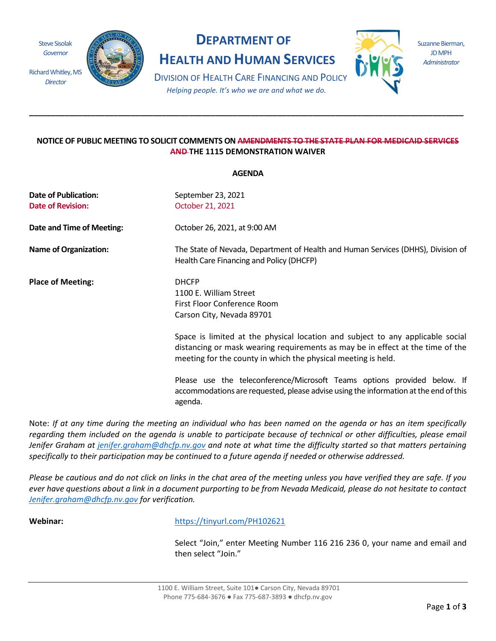Steve Sisolak *Governor*

*Director*



# **DEPARTMENT OF**

**HEALTH AND HUMAN SERVICES**



Suzanne Bierman, JD MPH *Administrator*

DIVISION OF HEALTH CARE FINANCING AND POLICY *Helping people. It's who we are and what we do.*

**\_\_\_\_\_\_\_\_\_\_\_\_\_\_\_\_\_\_\_\_\_\_\_\_\_\_\_\_\_\_\_\_\_\_\_\_\_\_\_\_\_\_\_\_\_\_\_\_\_\_\_\_\_\_\_\_\_\_\_\_\_\_\_\_\_\_\_\_\_\_\_\_\_\_\_\_\_\_\_\_\_\_\_\_\_\_\_\_\_\_\_\_\_\_\_\_\_\_** 

# **NOTICE OF PUBLIC MEETING TO SOLICIT COMMENTS ON AMENDMENTS TO THE STATE PLAN FOR MEDICAID SERVICES AND THE 1115 DEMONSTRATION WAIVER**

**AGENDA** 

|                                  | лчычил                                                                                                                                                                                                                            |  |  |  |  |
|----------------------------------|-----------------------------------------------------------------------------------------------------------------------------------------------------------------------------------------------------------------------------------|--|--|--|--|
| Date of Publication:             | September 23, 2021                                                                                                                                                                                                                |  |  |  |  |
| <b>Date of Revision:</b>         | October 21, 2021                                                                                                                                                                                                                  |  |  |  |  |
| <b>Date and Time of Meeting:</b> | October 26, 2021, at 9:00 AM                                                                                                                                                                                                      |  |  |  |  |
| <b>Name of Organization:</b>     | The State of Nevada, Department of Health and Human Services (DHHS), Division of<br>Health Care Financing and Policy (DHCFP)                                                                                                      |  |  |  |  |
| <b>Place of Meeting:</b>         | <b>DHCFP</b><br>1100 E. William Street<br>First Floor Conference Room<br>Carson City, Nevada 89701                                                                                                                                |  |  |  |  |
|                                  | Space is limited at the physical location and subject to any applicable social<br>distancing or mask wearing requirements as may be in effect at the time of the<br>meeting for the county in which the physical meeting is held. |  |  |  |  |
|                                  | Please use the teleconference/Microsoft Teams options provided below. If<br>accommodations are requested, please advise using the information at the end of this<br>agenda.                                                       |  |  |  |  |

Note: *If at any time during the meeting an individual who has been named on the agenda or has an item specifically regarding them included on the agenda is unable to participate because of technical or other difficulties, please email Jenifer Graham at [jenifer.graham@dhcfp.nv.gov](mailto:jenifer.graham@dhcfp.nv.gov) and note at what time the difficulty started so that matters pertaining specifically to their participation may be continued to a future agenda if needed or otherwise addressed.*

*Please be cautious and do not click on links in the chat area of the meeting unless you have verified they are safe. If you ever have questions about a link in a document purporting to be from Nevada Medicaid, please do not hesitate to contact [Jenifer.graham@dhcfp.nv.gov](mailto:Jenifer.graham@dhcfp.nv.gov) for verification.*

**Webinar:** <https://tinyurl.com/PH102621>

Select "Join," enter Meeting Number 116 216 236 0, your name and email and then select "Join."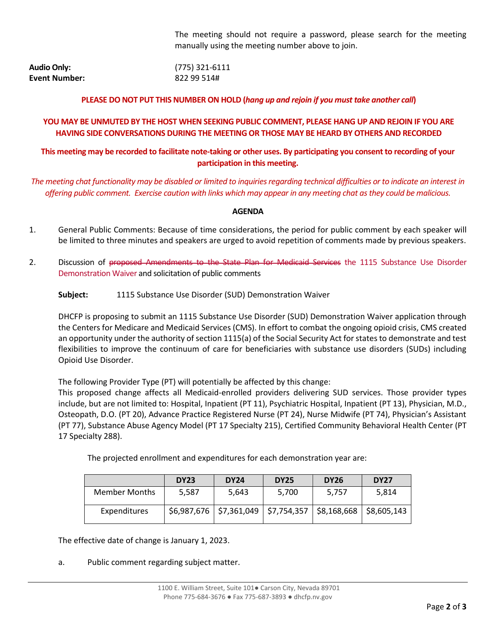The meeting should not require a password, please search for the meeting manually using the meeting number above to join.

| <b>Audio Only:</b> | (775) 321-6111 |
|--------------------|----------------|
| Event Number:      | 822 99 514#    |

### **PLEASE DO NOT PUT THIS NUMBER ON HOLD (***hang up and rejoin if you must take another call***)**

## **YOU MAY BE UNMUTED BY THE HOST WHEN SEEKING PUBLIC COMMENT, PLEASE HANG UP AND REJOIN IF YOU ARE HAVING SIDE CONVERSATIONS DURING THE MEETING OR THOSE MAY BE HEARD BY OTHERS AND RECORDED**

# **This meeting may be recorded to facilitate note-taking or other uses. By participating you consent to recording of your participation in this meeting.**

*The meeting chat functionality may be disabled or limited to inquiries regarding technical difficulties or to indicate an interest in offering public comment. Exercise caution with links which may appear in any meeting chat as they could be malicious.*

#### **AGENDA**

- 1. General Public Comments: Because of time considerations, the period for public comment by each speaker will be limited to three minutes and speakers are urged to avoid repetition of comments made by previous speakers.
- 2. Discussion of proposed Amendments to the State Plan for Medicaid Services the 1115 Substance Use Disorder Demonstration Waiver and solicitation of public comments

**Subject:** 1115 Substance Use Disorder (SUD) Demonstration Waiver

DHCFP is proposing to submit an 1115 Substance Use Disorder (SUD) Demonstration Waiver application through the Centers for Medicare and Medicaid Services (CMS). In effort to combat the ongoing opioid crisis, CMS created an opportunity under the authority of section 1115(a) of the Social Security Act for states to demonstrate and test flexibilities to improve the continuum of care for beneficiaries with substance use disorders (SUDs) including Opioid Use Disorder.

The following Provider Type (PT) will potentially be affected by this change:

This proposed change affects all Medicaid-enrolled providers delivering SUD services. Those provider types include, but are not limited to: Hospital, Inpatient (PT 11), Psychiatric Hospital, Inpatient (PT 13), Physician, M.D., Osteopath, D.O. (PT 20), Advance Practice Registered Nurse (PT 24), Nurse Midwife (PT 74), Physician's Assistant (PT 77), Substance Abuse Agency Model (PT 17 Specialty 215), Certified Community Behavioral Health Center (PT 17 Specialty 288).

The projected enrollment and expenditures for each demonstration year are:

|                      | <b>DY23</b> | <b>DY24</b>                              | <b>DY25</b> | <b>DY26</b>               | <b>DY27</b> |
|----------------------|-------------|------------------------------------------|-------------|---------------------------|-------------|
| <b>Member Months</b> | 5.587       | 5,643                                    | 5.700       | 5.757                     | 5.814       |
| Expenditures         |             | $$6,987,676$   \$7,361,049   \$7,754,357 |             | $$8,168,668$ $$8,605,143$ |             |

The effective date of change is January 1, 2023.

a. Public comment regarding subject matter.